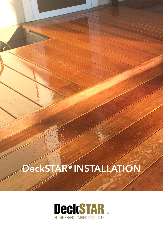# DeckSTAR® INSTALLATION